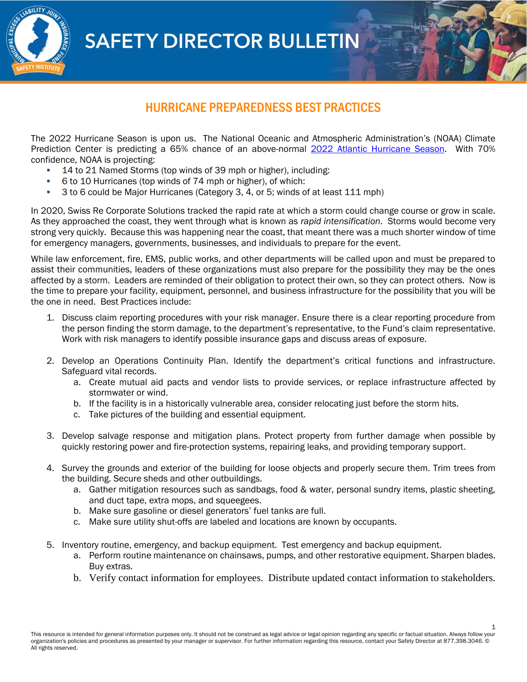**SAFETY DIRECTOR BULLETIN** 



## HURRICANE PREPAREDNESS BEST PRACTICES

The 2022 Hurricane Season is upon us. The National Oceanic and Atmospheric Administration's (NOAA) Climate Prediction Center is predicting a 65% chance of an above-normal 2022 Atlantic Hurricane Season. With 70% confidence, NOAA is projecting:

- 14 to 21 Named Storms (top winds of 39 mph or higher), including:
- 6 to 10 Hurricanes (top winds of 74 mph or higher), of which:
- 3 to 6 could be Major Hurricanes (Category 3, 4, or 5; winds of at least 111 mph)

In 2020, Swiss Re Corporate Solutions tracked the rapid rate at which a storm could change course or grow in scale. As they approached the coast, they went through what is known as *rapid intensification*. Storms would become very strong very quickly. Because this was happening near the coast, that meant there was a much shorter window of time for emergency managers, governments, businesses, and individuals to prepare for the event.

While law enforcement, fire, EMS, public works, and other departments will be called upon and must be prepared to assist their communities, leaders of these organizations must also prepare for the possibility they may be the ones affected by a storm. Leaders are reminded of their obligation to protect their own, so they can protect others. Now is the time to prepare your facility, equipment, personnel, and business infrastructure for the possibility that you will be the one in need. Best Practices include:

- 1. Discuss claim reporting procedures with your risk manager. Ensure there is a clear reporting procedure from the person finding the storm damage, to the department's representative, to the Fund's claim representative. Work with risk managers to identify possible insurance gaps and discuss areas of exposure.
- 2. Develop an Operations Continuity Plan. Identify the department's critical functions and infrastructure. Safeguard vital records.
	- a. Create mutual aid pacts and vendor lists to provide services, or replace infrastructure affected by stormwater or wind.
	- b. If the facility is in a historically vulnerable area, consider relocating just before the storm hits.
	- c. Take pictures of the building and essential equipment.
- 3. Develop salvage response and mitigation plans. Protect property from further damage when possible by quickly restoring power and fire-protection systems, repairing leaks, and providing temporary support.
- 4. Survey the grounds and exterior of the building for loose objects and properly secure them. Trim trees from the building. Secure sheds and other outbuildings.
	- a. Gather mitigation resources such as sandbags, food & water, personal sundry items, plastic sheeting, and duct tape, extra mops, and squeegees.
	- b. Make sure gasoline or diesel generators' fuel tanks are full.
	- c. Make sure utility shut-offs are labeled and locations are known by occupants.
- 5. Inventory routine, emergency, and backup equipment. Test emergency and backup equipment.
	- a. Perform routine maintenance on chainsaws, pumps, and other restorative equipment. Sharpen blades. Buy extras.
	- b. Verify contact information for employees. Distribute updated contact information to stakeholders.

1